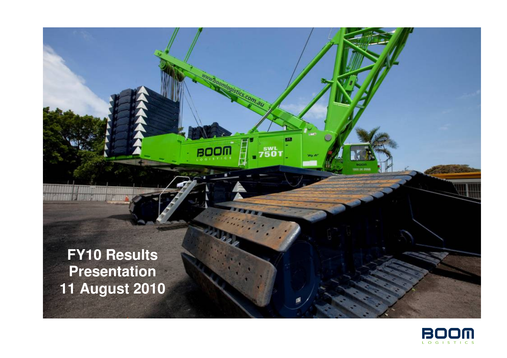**FY10 Results Presentation 11 August 2010**  **BOOM** 

 $7501$ 

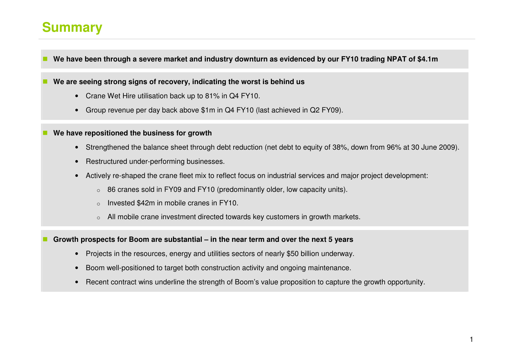### **Summary**

**We have been through a severe market and industry downturn as evidenced by our FY10 trading NPAT of \$4.1m** 

**We are seeing strong signs of recovery, indicating the worst is behind us** 

- Crane Wet Hire utilisation back up to 81% in Q4 FY10.
- Group revenue per day back above \$1m in Q4 FY10 (last achieved in Q2 FY09).
- **We have repositioned the business for growth** 
	- Strengthened the balance sheet through debt reduction (net debt to equity of 38%, down from 96% at 30 June 2009).
	- Restructured under-performing businesses.
	- Actively re-shaped the crane fleet mix to reflect focus on industrial services and major project development:
		- o86 cranes sold in FY09 and FY10 (predominantly older, low capacity units).
		- oInvested \$42m in mobile cranes in FY10.
		- oAll mobile crane investment directed towards key customers in growth markets.

**Growth prospects for Boom are substantial – in the near term and over the next 5 years** 

- Projects in the resources, energy and utilities sectors of nearly \$50 billion underway.
- Boom well-positioned to target both construction activity and ongoing maintenance.
- Recent contract wins underline the strength of Boom's value proposition to capture the growth opportunity.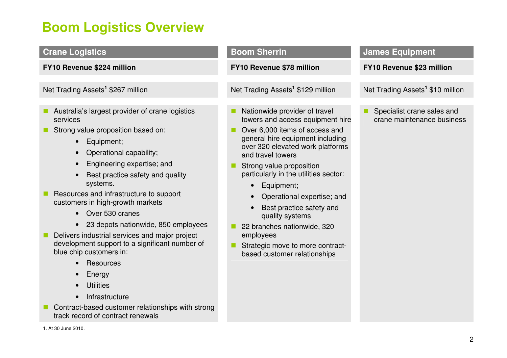# **Boom Logistics Overview**

| <b>Crane Logistics</b>                                                                                                                                                                                                                                                                                                                                                                                                                                                                                                                                                                                                                                                                             | <b>Boom Sherrin</b>                                                                                                                                                                                                                                                                                                                                                                                                                                                              | <b>James Equipment</b>                                   |
|----------------------------------------------------------------------------------------------------------------------------------------------------------------------------------------------------------------------------------------------------------------------------------------------------------------------------------------------------------------------------------------------------------------------------------------------------------------------------------------------------------------------------------------------------------------------------------------------------------------------------------------------------------------------------------------------------|----------------------------------------------------------------------------------------------------------------------------------------------------------------------------------------------------------------------------------------------------------------------------------------------------------------------------------------------------------------------------------------------------------------------------------------------------------------------------------|----------------------------------------------------------|
| FY10 Revenue \$224 million                                                                                                                                                                                                                                                                                                                                                                                                                                                                                                                                                                                                                                                                         | FY10 Revenue \$78 million                                                                                                                                                                                                                                                                                                                                                                                                                                                        | FY10 Revenue \$23 million                                |
| Net Trading Assets <sup>1</sup> \$267 million                                                                                                                                                                                                                                                                                                                                                                                                                                                                                                                                                                                                                                                      | Net Trading Assets <sup>1</sup> \$129 million                                                                                                                                                                                                                                                                                                                                                                                                                                    | Net Trading Assets <sup>1</sup> \$10 million             |
| Australia's largest provider of crane logistics<br>services<br>Strong value proposition based on:<br>Equipment;<br>$\bullet$<br>Operational capability;<br>$\bullet$<br>Engineering expertise; and<br>Best practice safety and quality<br>systems.<br>Resources and infrastructure to support<br>customers in high-growth markets<br>• Over 530 cranes<br>• 23 depots nationwide, 850 employees<br>Delivers industrial services and major project<br>development support to a significant number of<br>blue chip customers in:<br>Resources<br>$\bullet$<br>Energy<br><b>Utilities</b><br>Infrastructure<br>Contract-based customer relationships with strong<br>track record of contract renewals | Nationwide provider of travel<br>towers and access equipment hire<br>Over 6,000 items of access and<br>general hire equipment including<br>over 320 elevated work platforms<br>and travel towers<br>Strong value proposition<br>particularly in the utilities sector:<br>Equipment;<br>Operational expertise; and<br>Best practice safety and<br>quality systems<br>22 branches nationwide, 320<br>employees<br>Strategic move to more contract-<br>based customer relationships | Specialist crane sales and<br>crane maintenance business |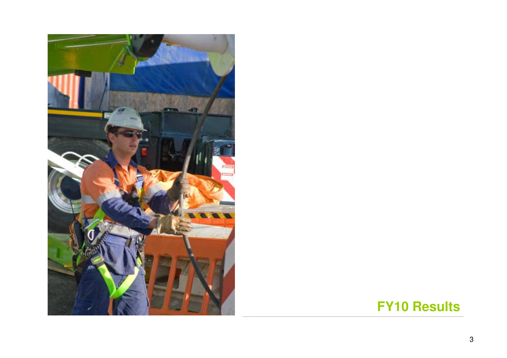

# **FY10 Results**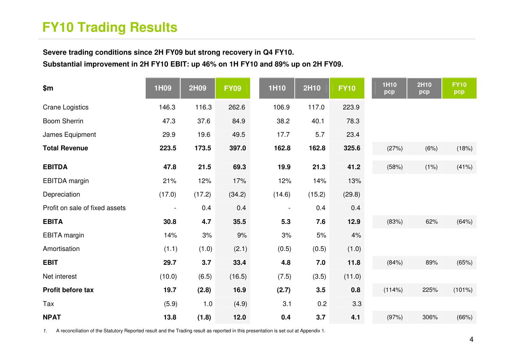# **FY10 Trading Results**

**Severe trading conditions since 2H FY09 but strong recovery in Q4 FY10.** 

**Substantial improvement in 2H FY10 EBIT: up 46% on 1H FY10 and 89% up on 2H FY09.** 

| \$m                            | 1H09   | 2H09   | <b>FY09</b> | <b>1H10</b>    | 2H10   | <b>FY10</b> | <b>1H10</b><br>pcp | 2H10<br>pcp | <b>FY10</b><br>pcp |
|--------------------------------|--------|--------|-------------|----------------|--------|-------------|--------------------|-------------|--------------------|
| <b>Crane Logistics</b>         | 146.3  | 116.3  | 262.6       | 106.9          | 117.0  | 223.9       |                    |             |                    |
| <b>Boom Sherrin</b>            | 47.3   | 37.6   | 84.9        | 38.2           | 40.1   | 78.3        |                    |             |                    |
| James Equipment                | 29.9   | 19.6   | 49.5        | 17.7           | 5.7    | 23.4        |                    |             |                    |
| <b>Total Revenue</b>           | 223.5  | 173.5  | 397.0       | 162.8          | 162.8  | 325.6       | (27%)              | (6%)        | (18%)              |
| <b>EBITDA</b>                  | 47.8   | 21.5   | 69.3        | 19.9           | 21.3   | 41.2        | (58%)              | (1%)        | (41%)              |
| <b>EBITDA</b> margin           | 21%    | 12%    | 17%         | 12%            | 14%    | 13%         |                    |             |                    |
| Depreciation                   | (17.0) | (17.2) | (34.2)      | (14.6)         | (15.2) | (29.8)      |                    |             |                    |
| Profit on sale of fixed assets |        | 0.4    | 0.4         | $\blacksquare$ | 0.4    | 0.4         |                    |             |                    |
| <b>EBITA</b>                   | 30.8   | 4.7    | 35.5        | 5.3            | 7.6    | 12.9        | (83%)              | 62%         | (64%)              |
| <b>EBITA</b> margin            | 14%    | 3%     | 9%          | 3%             | 5%     | 4%          |                    |             |                    |
| Amortisation                   | (1.1)  | (1.0)  | (2.1)       | (0.5)          | (0.5)  | (1.0)       |                    |             |                    |
| <b>EBIT</b>                    | 29.7   | 3.7    | 33.4        | 4.8            | 7.0    | 11.8        | (84%)              | 89%         | (65%)              |
| Net interest                   | (10.0) | (6.5)  | (16.5)      | (7.5)          | (3.5)  | (11.0)      |                    |             |                    |
| Profit before tax              | 19.7   | (2.8)  | 16.9        | (2.7)          | 3.5    | 0.8         | (114%)             | 225%        | (101%)             |
| Tax                            | (5.9)  | 1.0    | (4.9)       | 3.1            | 0.2    | 3.3         |                    |             |                    |
| <b>NPAT</b>                    | 13.8   | (1.8)  | $12.0$      | 0.4            | 3.7    | 4.1         | (97%)              | 306%        | (66%)              |

1. A reconciliation of the Statutory Reported result and the Trading result as reported in this presentation is set out at Appendix 1.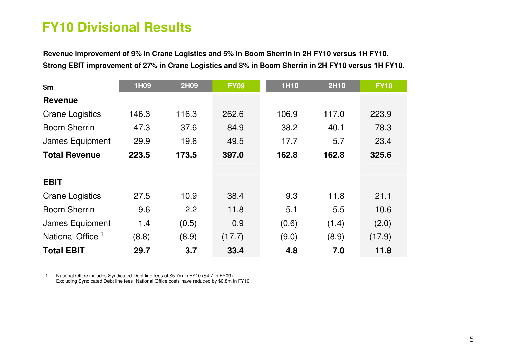# **FY10 Divisional Results**

**Revenue improvement of 9% in Crane Logistics and 5% in Boom Sherrin in 2H FY10 versus 1H FY10. Strong EBIT improvement of 27% in Crane Logistics and 8% in Boom Sherrin in 2H FY10 versus 1H FY10.** 

| \$m                          | 1H09  | <b>2H09</b> | <b>FY09</b> | <b>1H10</b> | 2H10  | <b>FY10</b> |
|------------------------------|-------|-------------|-------------|-------------|-------|-------------|
| <b>Revenue</b>               |       |             |             |             |       |             |
| <b>Crane Logistics</b>       | 146.3 | 116.3       | 262.6       | 106.9       | 117.0 | 223.9       |
| <b>Boom Sherrin</b>          | 47.3  | 37.6        | 84.9        | 38.2        | 40.1  | 78.3        |
| James Equipment              | 29.9  | 19.6        | 49.5        | 17.7        | 5.7   | 23.4        |
| <b>Total Revenue</b>         | 223.5 | 173.5       | 397.0       | 162.8       | 162.8 | 325.6       |
|                              |       |             |             |             |       |             |
| <b>EBIT</b>                  |       |             |             |             |       |             |
| <b>Crane Logistics</b>       | 27.5  | 10.9        | 38.4        | 9.3         | 11.8  | 21.1        |
| <b>Boom Sherrin</b>          | 9.6   | 2.2         | 11.8        | 5.1         | 5.5   | 10.6        |
| James Equipment              | 1.4   | (0.5)       | 0.9         | (0.6)       | (1.4) | (2.0)       |
| National Office <sup>1</sup> | (8.8) | (8.9)       | (17.7)      | (9.0)       | (8.9) | (17.9)      |
| <b>Total EBIT</b>            | 29.7  | 3.7         | 33.4        | 4.8         | 7.0   | 11.8        |

1. National Office includes Syndicated Debt line fees of \$5.7m in FY10 (\$4.7 in FY09). Excluding Syndicated Debt line fees, National Office costs have reduced by \$0.8m in FY10.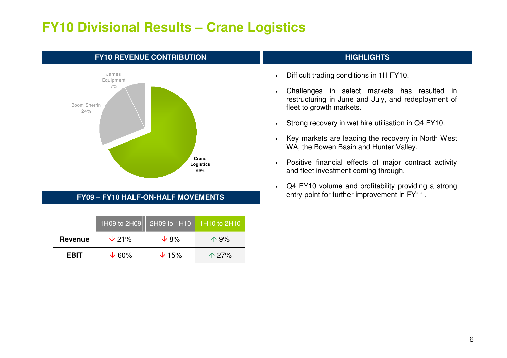### **FY10 Divisional Results – Crane Logistics**



#### **FY09 – FY10 HALF-ON-HALF MOVEMENTS**

|                | 1H09 to 2H09  | 2H09 to 1H10 1H10 to 2H10 |                |
|----------------|---------------|---------------------------|----------------|
| <b>Revenue</b> | $\sqrt{21\%}$ | $\sqrt{8\%}$              | $\Lambda$ 9%   |
| <b>EBIT</b>    | $\sqrt{60\%}$ | $\sqrt{15\%}$             | $\uparrow$ 27% |

- •Difficult trading conditions in 1H FY10.
- • Challenges in select markets has resulted in restructuring in June and July, and redeployment offleet to growth markets.
- •Strong recovery in wet hire utilisation in Q4 FY10.
- • Key markets are leading the recovery in North West WA, the Bowen Basin and Hunter Valley.
- • Positive financial effects of major contract activity and fleet investment coming through.
- • Q4 FY10 volume and profitability providing a strongentry point for further improvement in FY11.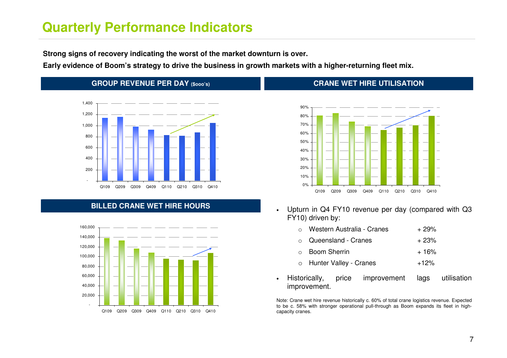#### **Quarterly Performance Indicators**

**Strong signs of recovery indicating the worst of the market downturn is over.** 

**Early evidence of Boom's strategy to drive the business in growth markets with a higher-returning fleet mix.** 

•

improvement.

#### **GROUP REVENUE PER DAY (\$ooo's)**



#### **BILLED CRANE WET HIRE HOURS**



#### **CRANE WET HIRE UTILISATION**



• Upturn in Q4 FY10 revenue per day (compared with Q3FY10) driven by:

| • Historically, |                |                             | price improvement | lags   | utilisation |
|-----------------|----------------|-----------------------------|-------------------|--------|-------------|
|                 |                | o Hunter Valley - Cranes    |                   | $+12%$ |             |
|                 | ○ Boom Sherrin |                             | $+16%$            |        |             |
|                 |                | $\circ$ Queensland - Cranes | $+23%$            |        |             |
|                 |                | Western Australia - Cranes  | $+29%$            |        |             |

Note: Crane wet hire revenue historically c. 60% of total crane logistics revenue. Expected to be c. 58% with stronger operational pull-through as Boom expands its fleet in highcapacity cranes.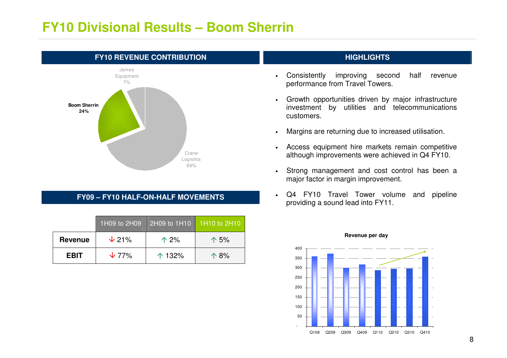#### **FY10 Divisional Results – Boom Sherrin**



#### **FY09 – FY10 HALF-ON-HALF MOVEMENTS**

|                | 1H09 to 2H09  | 2H09 to 1H10    | 1H10 to 2H10  |
|----------------|---------------|-----------------|---------------|
| <b>Revenue</b> | $\sqrt{21\%}$ | $\uparrow$ 2%   | $\uparrow$ 5% |
| <b>EBIT</b>    | $\sqrt{77\%}$ | $\uparrow$ 132% | $\Lambda$ 8%  |

- • Consistently improving second half revenue performance from Travel Towers.
- • Growth opportunities driven by major infrastructure investment by utilities and telecommunications customers.
- •Margins are returning due to increased utilisation.
- • Access equipment hire markets remain competitive although improvements were achieved in Q4 FY10.
- • Strong management and cost control has been a major factor in margin improvement.
- • Q4 FY10 Travel Tower volume and pipeline providing a sound lead into FY11.



#### **Revenue per day**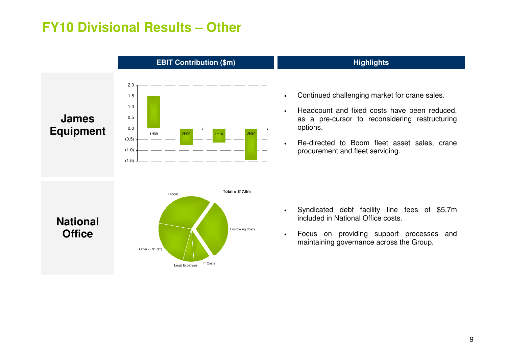#### **FY10 Divisional Results – Other**

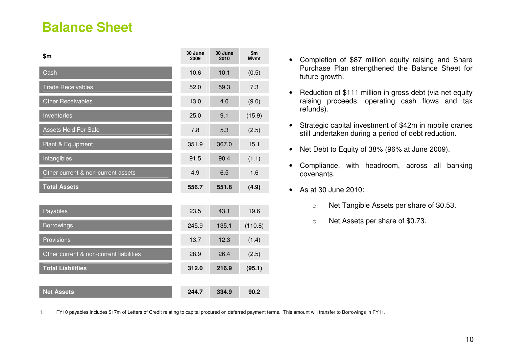### **Balance Sheet**

| \$m                                     | 30 June<br>2009 | 30 June<br>2010 | \$m\$<br><b>M</b> vmt |
|-----------------------------------------|-----------------|-----------------|-----------------------|
| Cash                                    | 10.6            | 10.1            | (0.5)                 |
| <b>Trade Receivables</b>                | 52.0            | 59.3            | 7.3                   |
| <b>Other Receivables</b>                | 13.0            | 4.0             | (9.0)                 |
| Inventories                             | 25.0            | 9.1             | (15.9)                |
| <b>Assets Held For Sale</b>             | 7.8             | 5.3             | (2.5)                 |
| Plant & Equipment                       | 351.9           | 367.0           | 15.1                  |
| Intangibles                             | 91.5            | 90.4            | (1.1)                 |
| Other current & non-current assets      | 4.9             | 6.5             | 1.6                   |
| <b>Total Assets</b>                     | 556.7           | 551.8           | (4.9)                 |
|                                         |                 |                 |                       |
| $\mathbf{1}$<br>Payables                | 23.5            | 43.1            | 19.6                  |
| <b>Borrowings</b>                       | 245.9           | 135.1           | (110.8)               |
| Provisions                              | 13.7            | 12.3            | (1.4)                 |
| Other current & non-current liabilities | 28.9            | 26.4            | (2.5)                 |
| <b>Total Liabilities</b>                | 312.0           | 216.9           | (95.1)                |
|                                         |                 |                 |                       |
| <b>Net Assets</b>                       | 244.7           | 334.9           | 90.2                  |

- Completion of \$87 million equity raising and SharePurchase Plan strengthened the Balance Sheet for future growth.
- Reduction of \$111 million in gross debt (via net equity raising proceeds, operating cash flows and tax refunds).
- Strategic capital investment of \$42m in mobile cranes still undertaken during a period of debt reduction.
- Net Debt to Equity of 38% (96% at June 2009).
- Compliance, with headroom, across all banking covenants.
- As at 30 June 2010:
	- o Net Tangible Assets per share of \$0.53.
	- o Net Assets per share of \$0.73.

1. FY10 payables includes \$17m of Letters of Credit relating to capital procured on deferred payment terms. This amount will transfer to Borrowings in FY11.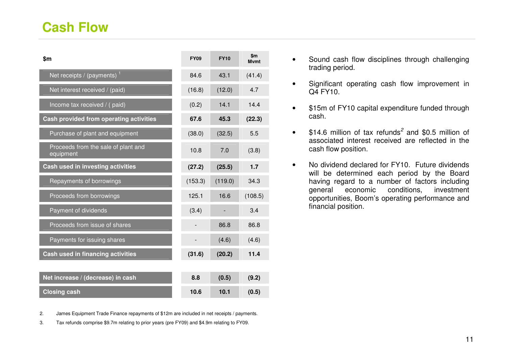| \$m                                              | <b>FY09</b> | <b>FY10</b> | $\mathbf{m}$<br><b>M</b> vmt |
|--------------------------------------------------|-------------|-------------|------------------------------|
| Net receipts / (payments) <sup>1</sup>           | 84.6        | 43.1        | (41.4)                       |
| Net interest received / (paid)                   | (16.8)      | (12.0)      | 4.7                          |
| Income tax received / (paid)                     | (0.2)       | 14.1        | 14.4                         |
| Cash provided from operating activities          | 67.6        | 45.3        | (22.3)                       |
| Purchase of plant and equipment                  | (38.0)      | (32.5)      | 5.5                          |
| Proceeds from the sale of plant and<br>equipment | 10.8        | 7.0         | (3.8)                        |
| Cash used in investing activities                | (27.2)      | (25.5)      | 1.7                          |
| Repayments of borrowings                         | (153.3)     | (119.0)     | 34.3                         |
| Proceeds from borrowings                         | 125.1       | 16.6        | (108.5)                      |
| Payment of dividends                             | (3.4)       |             | 3.4                          |
| Proceeds from issue of shares                    |             | 86.8        | 86.8                         |
| Payments for issuing shares                      |             | (4.6)       | (4.6)                        |
| Cash used in financing activities                | (31.6)      | (20.2)      | 11.4                         |
|                                                  |             |             |                              |
| Net increase / (decrease) in cash                | 8.8         | (0.5)       | (9.2)                        |
| <b>Closing cash</b>                              | 10.6        | 10.1        | (0.5)                        |

- Sound cash flow disciplines through challenging trading period.
- Significant operating cash flow improvement in Q4 FY10.
- \$15m of FY10 capital expenditure funded through cash.
- $$14.6$  million of tax refunds<sup>2</sup> and \$0.5 million of associated interest received are reflected in the cash flow position.
- No dividend declared for FY10. Future dividends will be determined each period by the Board having regard to a number of factors including investment general economic conditions, opportunities, Boom's operating performance and financial position.

2. James Equipment Trade Finance repayments of \$12m are included in net receipts / payments.

3. Tax refunds comprise \$9.7m relating to prior years (pre FY09) and \$4.9m relating to FY09.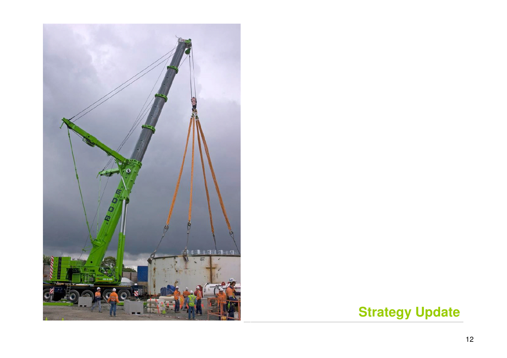

# **Strategy Update**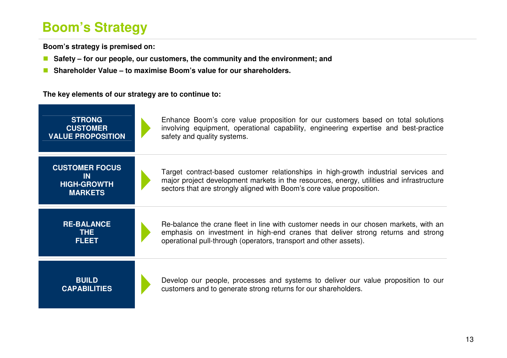# **Boom's Strategy**

a sa kacamatan ing Kabupatèn Kabupatèn Ing

**Boom's strategy is premised on:** 

- $\Box$ **Safety – for our people, our customers, the community and the environment; and**
- Shareholder Value to maximise Boom's value for our shareholders.

**The key elements of our strategy are to continue to:** 

| <b>STRONG</b><br><b>CUSTOMER</b><br><b>VALUE PROPOSITION</b>               | Enhance Boom's core value proposition for our customers based on total solutions<br>involving equipment, operational capability, engineering expertise and best-practice<br>safety and quality systems.                                                  |
|----------------------------------------------------------------------------|----------------------------------------------------------------------------------------------------------------------------------------------------------------------------------------------------------------------------------------------------------|
| <b>CUSTOMER FOCUS</b><br><b>IN</b><br><b>HIGH-GROWTH</b><br><b>MARKETS</b> | Target contract-based customer relationships in high-growth industrial services and<br>major project development markets in the resources, energy, utilities and infrastructure<br>sectors that are strongly aligned with Boom's core value proposition. |
| <b>RE-BALANCE</b><br>THE.<br><b>FLEET</b>                                  | Re-balance the crane fleet in line with customer needs in our chosen markets, with an<br>emphasis on investment in high-end cranes that deliver strong returns and strong<br>operational pull-through (operators, transport and other assets).           |
| <b>BUILD</b><br><b>CAPABILITIES</b>                                        | Develop our people, processes and systems to deliver our value proposition to our<br>customers and to generate strong returns for our shareholders.                                                                                                      |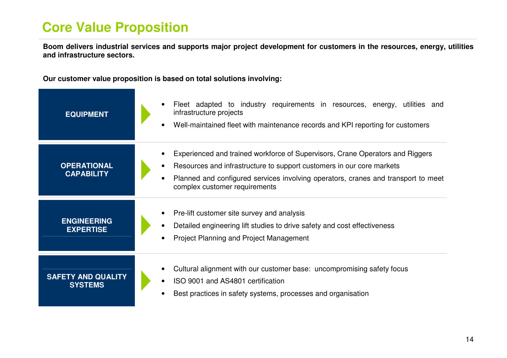# **Core Value Proposition**

**Boom delivers industrial services and supports major project development for customers in the resources, energy, utilities and infrastructure sectors.** 

**Our customer value proposition is based on total solutions involving:**

| <b>EQUIPMENT</b>                            | Fleet adapted to industry requirements in resources, energy, utilities and<br>infrastructure projects<br>Well-maintained fleet with maintenance records and KPI reporting for customers<br>$\bullet$                                                                                                   |
|---------------------------------------------|--------------------------------------------------------------------------------------------------------------------------------------------------------------------------------------------------------------------------------------------------------------------------------------------------------|
| <b>OPERATIONAL</b><br><b>CAPABILITY</b>     | Experienced and trained workforce of Supervisors, Crane Operators and Riggers<br>Resources and infrastructure to support customers in our core markets<br>$\bullet$<br>Planned and configured services involving operators, cranes and transport to meet<br>$\bullet$<br>complex customer requirements |
| <b>ENGINEERING</b><br><b>EXPERTISE</b>      | Pre-lift customer site survey and analysis<br>Detailed engineering lift studies to drive safety and cost effectiveness<br><b>Project Planning and Project Management</b>                                                                                                                               |
| <b>SAFETY AND QUALITY</b><br><b>SYSTEMS</b> | Cultural alignment with our customer base: uncompromising safety focus<br>ISO 9001 and AS4801 certification<br>Best practices in safety systems, processes and organisation                                                                                                                            |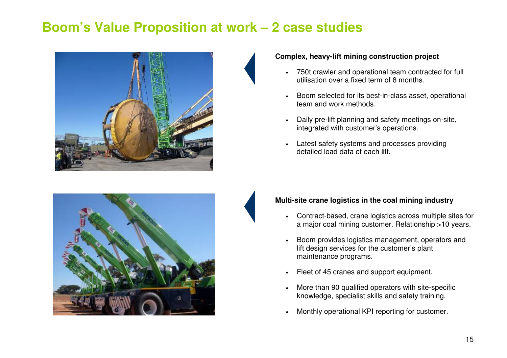#### **Boom's Value Proposition at work – 2 case studies**



#### **Complex, heavy-lift mining construction project**

- • 750t crawler and operational team contracted for full utilisation over a fixed term of 8 months.
- • Boom selected for its best-in-class asset, operational team and work methods.
- • Daily pre-lift planning and safety meetings on-site, integrated with customer's operations.
- • Latest safety systems and processes providing detailed load data of each lift.



#### **Multi-site crane logistics in the coal mining industry**

- Contract-based, crane logistics across multiple sites for a major coal mining customer. Relationship >10 years.
- • Boom provides logistics management, operators and lift design services for the customer's plant maintenance programs.
- •Fleet of 45 cranes and support equipment.
- • More than 90 qualified operators with site-specificknowledge, specialist skills and safety training.
- •Monthly operational KPI reporting for customer.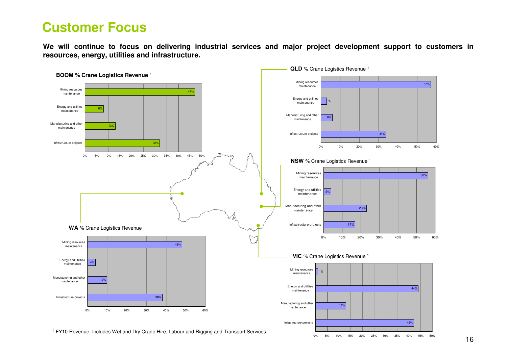### **Customer Focus**

**We will continue to focus on delivering industrial services and major project development support to customers in resources, energy, utilities and infrastructure.** 

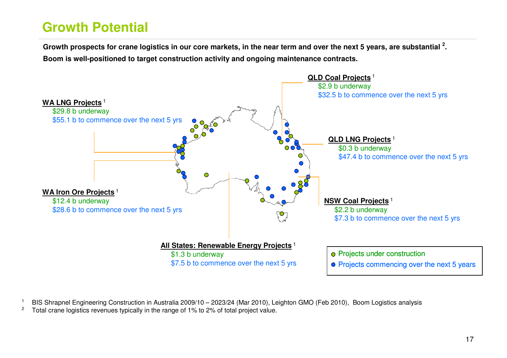# **Growth Potential**

**Growth prospects for crane logistics in our core markets, in the near term and over the next 5 years, are substantial <sup>2</sup>. Boom is well-positioned to target construction activity and ongoing maintenance contracts.** 



1BIS Shrapnel Engineering Construction in Australia 2009/10 – 2023/24 (Mar 2010), Leighton GMO (Feb 2010), Boom Logistics analysis

2Total crane logistics revenues typically in the range of 1% to 2% of total project value.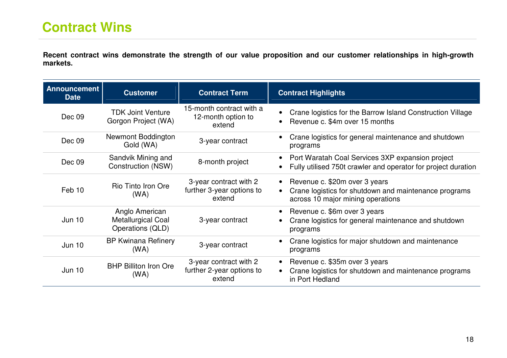**Recent contract wins demonstrate the strength of our value proposition and our customer relationships in high-growth markets.** 

| <b>Announcement</b><br><b>Date</b> | <b>Customer</b>                                                 | <b>Contract Term</b>                                          | <b>Contract Highlights</b>                                                                                                    |
|------------------------------------|-----------------------------------------------------------------|---------------------------------------------------------------|-------------------------------------------------------------------------------------------------------------------------------|
| Dec 09                             | <b>TDK Joint Venture</b><br>Gorgon Project (WA)                 | 15-month contract with a<br>12-month option to<br>extend      | Crane logistics for the Barrow Island Construction Village<br>Revenue c. \$4m over 15 months                                  |
| Dec 09                             | Newmont Boddington<br>Gold (WA)                                 | 3-year contract                                               | Crane logistics for general maintenance and shutdown<br>programs                                                              |
| Dec 09                             | Sandvik Mining and<br>Construction (NSW)                        | 8-month project                                               | Port Waratah Coal Services 3XP expansion project<br>Fully utilised 750t crawler and operator for project duration             |
| Feb 10                             | Rio Tinto Iron Ore<br>(WA)                                      | 3-year contract with 2<br>further 3-year options to<br>extend | • Revenue c. \$20m over 3 years<br>Crane logistics for shutdown and maintenance programs<br>across 10 major mining operations |
| Jun 10                             | Anglo American<br><b>Metallurgical Coal</b><br>Operations (QLD) | 3-year contract                                               | Revenue c. \$6m over 3 years<br>Crane logistics for general maintenance and shutdown<br>programs                              |
| <b>Jun 10</b>                      | <b>BP Kwinana Refinery</b><br>(WA)                              | 3-year contract                                               | Crane logistics for major shutdown and maintenance<br>programs                                                                |
| <b>Jun 10</b>                      | <b>BHP Billiton Iron Ore</b><br>(WA)                            | 3-year contract with 2<br>further 2-year options to<br>extend | Revenue c. \$35m over 3 years<br>Crane logistics for shutdown and maintenance programs<br>in Port Hedland                     |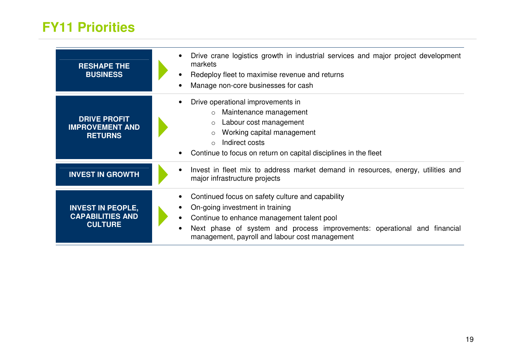### **FY11 Priorities**

| <b>RESHAPE THE</b><br><b>BUSINESS</b>                                 | Drive crane logistics growth in industrial services and major project development<br>markets<br>Redeploy fleet to maximise revenue and returns<br>Manage non-core businesses for cash                                                                           |
|-----------------------------------------------------------------------|-----------------------------------------------------------------------------------------------------------------------------------------------------------------------------------------------------------------------------------------------------------------|
| <b>DRIVE PROFIT</b><br><b>IMPROVEMENT AND</b><br><b>RETURNS</b>       | Drive operational improvements in<br>$\circ$ Maintenance management<br>Labour cost management<br>$\circ$<br>Working capital management<br>$\circ$<br>Indirect costs<br>$\Omega$<br>Continue to focus on return on capital disciplines in the fleet              |
| <b>INVEST IN GROWTH</b>                                               | Invest in fleet mix to address market demand in resources, energy, utilities and<br>major infrastructure projects                                                                                                                                               |
| <b>INVEST IN PEOPLE,</b><br><b>CAPABILITIES AND</b><br><b>CULTURE</b> | Continued focus on safety culture and capability<br>On-going investment in training<br>Continue to enhance management talent pool<br>Next phase of system and process improvements: operational and financial<br>management, payroll and labour cost management |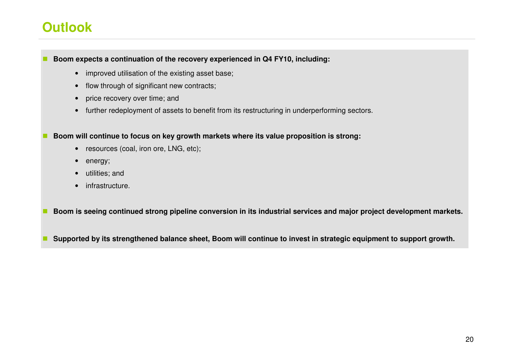### **Outlook**

**Boom expects a continuation of the recovery experienced in Q4 FY10, including:** 

- improved utilisation of the existing asset base;
- flow through of significant new contracts;
- price recovery over time; and
- further redeployment of assets to benefit from its restructuring in underperforming sectors.

**Boom will continue to focus on key growth markets where its value proposition is strong:** 

- resources (coal, iron ore, LNG, etc);
- energy;
- utilities; and
- infrastructure.

**Boom is seeing continued strong pipeline conversion in its industrial services and major project development markets.** 

**Supported by its strengthened balance sheet, Boom will continue to invest in strategic equipment to support growth.**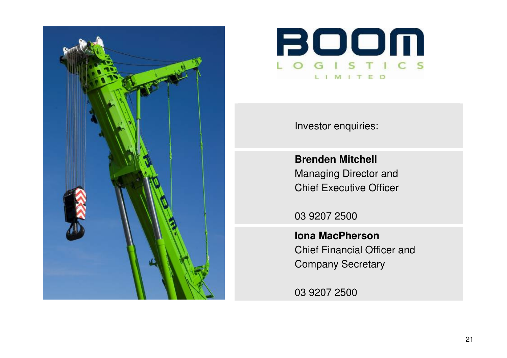



Investor enquiries:

**Brenden Mitchell** Managing Director and Chief Executive Officer

03 9207 2500

**Iona MacPherson** Chief Financial Officer and Company Secretary

03 9207 2500